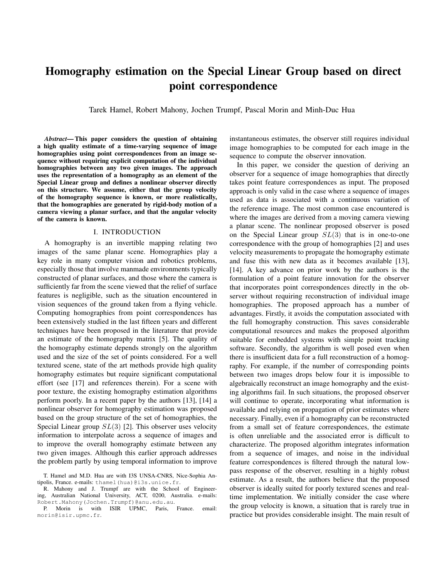# Homography estimation on the Special Linear Group based on direct point correspondence

Tarek Hamel, Robert Mahony, Jochen Trumpf, Pascal Morin and Minh-Duc Hua

*Abstract*— This paper considers the question of obtaining a high quality estimate of a time-varying sequence of image homographies using point correspondences from an image sequence without requiring explicit computation of the individual homographies between any two given images. The approach uses the representation of a homography as an element of the Special Linear group and defines a nonlinear observer directly on this structure. We assume, either that the group velocity of the homography sequence is known, or more realistically, that the homographies are generated by rigid-body motion of a camera viewing a planar surface, and that the angular velocity of the camera is known.

### I. INTRODUCTION

A homography is an invertible mapping relating two images of the same planar scene. Homographies play a key role in many computer vision and robotics problems, especially those that involve manmade environments typically constructed of planar surfaces, and those where the camera is sufficiently far from the scene viewed that the relief of surface features is negligible, such as the situation encountered in vision sequences of the ground taken from a flying vehicle. Computing homographies from point correspondences has been extensively studied in the last fifteen years and different techniques have been proposed in the literature that provide an estimate of the homography matrix [5]. The quality of the homography estimate depends strongly on the algorithm used and the size of the set of points considered. For a well textured scene, state of the art methods provide high quality homography estimates but require significant computational effort (see [17] and references therein). For a scene with poor texture, the existing homography estimation algorithms perform poorly. In a recent paper by the authors [13], [14] a nonlinear observer for homography estimation was proposed based on the group structure of the set of homographies, the Special Linear group  $SL(3)$  [2]. This observer uses velocity information to interpolate across a sequence of images and to improve the overall homography estimate between any two given images. Although this earlier approach addresses the problem partly by using temporal information to improve instantaneous estimates, the observer still requires individual image homographies to be computed for each image in the sequence to compute the observer innovation.

In this paper, we consider the question of deriving an observer for a sequence of image homographies that directly takes point feature correspondences as input. The proposed approach is only valid in the case where a sequence of images used as data is associated with a continuous variation of the reference image. The most common case encountered is where the images are derived from a moving camera viewing a planar scene. The nonlinear proposed observer is posed on the Special Linear group  $SL(3)$  that is in one-to-one correspondence with the group of homographies [2] and uses velocity measurements to propagate the homography estimate and fuse this with new data as it becomes available [13], [14]. A key advance on prior work by the authors is the formulation of a point feature innovation for the observer that incorporates point correspondences directly in the observer without requiring reconstruction of individual image homographies. The proposed approach has a number of advantages. Firstly, it avoids the computation associated with the full homography construction. This saves considerable computational resources and makes the proposed algorithm suitable for embedded systems with simple point tracking software. Secondly, the algorithm is well posed even when there is insufficient data for a full reconstruction of a homography. For example, if the number of corresponding points between two images drops below four it is impossible to algebraically reconstruct an image homography and the existing algorithms fail. In such situations, the proposed observer will continue to operate, incorporating what information is available and relying on propagation of prior estimates where necessary. Finally, even if a homography can be reconstructed from a small set of feature correspondences, the estimate is often unreliable and the associated error is difficult to characterize. The proposed algorithm integrates information from a sequence of images, and noise in the individual feature correspondences is filtered through the natural lowpass response of the observer, resulting in a highly robust estimate. As a result, the authors believe that the proposed observer is ideally suited for poorly textured scenes and realtime implementation. We initially consider the case where the group velocity is known, a situation that is rarely true in practice but provides considerable insight. The main result of

T. Hamel and M.D. Hua are with I3S UNSA-CNRS, Nice-Sophia Antipolis, France. e-mails: thamel(hua)@i3s.unice.fr.

R. Mahony and J. Trumpf are with the School of Engineering, Australian National University, ACT, 0200, Australia. e-mails: Robert.Mahony(Jochen.Trumpf)@anu.edu.au.

P. Morin is with ISIR UPMC, Paris, France. email: morin@isir.upmc.fr.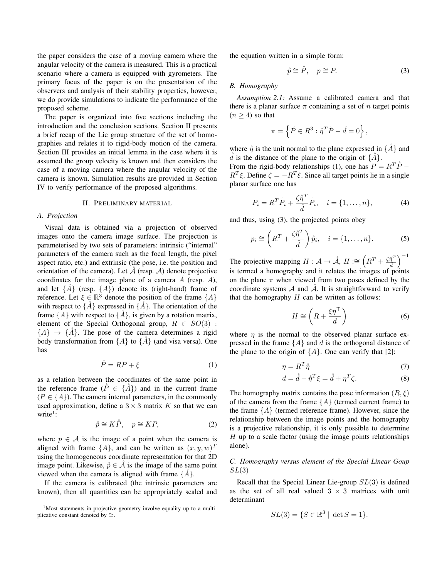the paper considers the case of a moving camera where the angular velocity of the camera is measured. This is a practical scenario where a camera is equipped with gyrometers. The primary focus of the paper is on the presentation of the observers and analysis of their stability properties, however, we do provide simulations to indicate the performance of the proposed scheme.

The paper is organized into five sections including the introduction and the conclusion sections. Section II presents a brief recap of the Lie group structure of the set of homographies and relates it to rigid-body motion of the camera. Section III provides an initial lemma in the case where it is assumed the group velocity is known and then considers the case of a moving camera where the angular velocity of the camera is known. Simulation results are provided in Section IV to verify performance of the proposed algorithms.

### II. PRELIMINARY MATERIAL

# *A. Projection*

Visual data is obtained via a projection of observed images onto the camera image surface. The projection is parameterised by two sets of parameters: intrinsic ("internal" parameters of the camera such as the focal length, the pixel aspect ratio, etc.) and extrinsic (the pose, i.e. the position and orientation of the camera). Let  $A$  (resp.  $A$ ) denote projective coordinates for the image plane of a camera  $\overrightarrow{A}$  (resp. A), and let  $\{\AA\}$  (resp.  $\{A\}$ ) denote its (right-hand) frame of reference. Let  $\xi \in \mathbb{R}^3$  denote the position of the frame  $\{A\}$ with respect to  $\{\AA\}$  expressed in  $\{\AA\}$ . The orientation of the frame  $\{A\}$  with respect to  $\{A\}$ , is given by a rotation matrix, element of the Special Orthogonal group,  $R \in SO(3)$ :  ${A}$   $\rightarrow$   ${A}$ . The pose of the camera determines a rigid body transformation from  $\{A\}$  to  $\{A\}$  (and visa versa). One has

$$
\overset{\circ}{P} = RP + \xi \tag{1}
$$

as a relation between the coordinates of the same point in the reference frame ( $\tilde{P} \in \{\tilde{A}\}\$ ) and in the current frame  $(P \in \{A\})$ . The camera internal parameters, in the commonly used approximation, define a  $3 \times 3$  matrix K so that we can write $^1$ :

$$
\mathring{p} \cong K\mathring{P}, \quad p \cong KP,\tag{2}
$$

where  $p \in A$  is the image of a point when the camera is aligned with frame  $\{A\}$ , and can be written as  $(x, y, w)^T$ using the homogeneous coordinate representation for that 2D image point. Likewise,  $\mathring{p} \in \mathring{\mathcal{A}}$  is the image of the same point viewed when the camera is aligned with frame  $\{\AA\}$ .

If the camera is calibrated (the intrinsic parameters are known), then all quantities can be appropriately scaled and the equation written in a simple form:

$$
\mathring{p} \cong \mathring{P}, \quad p \cong P. \tag{3}
$$

#### *B. Homography*

*Assumption 2.1:* Assume a calibrated camera and that there is a planar surface  $\pi$  containing a set of n target points  $(n \geq 4)$  so that

$$
\pi = \left\{ \mathring{P} \in R^3 : \mathring{\eta}^T \mathring{P} - \mathring{d} = 0 \right\},\
$$

where  $\eta$  is the unit normal to the plane expressed in  $\{\AA\}$  and  $\tilde{d}$  is the distance of the plane to the origin of  $\{\tilde{A}\}\$ . From the rigid-body relationships (1), one has  $P = R^T \mathring{P}$  –  $R^T \xi$ . Define  $\zeta = -R^T \xi$ . Since all target points lie in a single planar surface one has

$$
P_i = R^T \mathring{P}_i + \frac{\zeta \mathring{\eta}^T}{\mathring{d}} \mathring{P}_i, \quad i = \{1, \dots, n\},\tag{4}
$$

and thus, using (3), the projected points obey

$$
p_i \cong \left(R^T + \frac{\zeta \mathring{\eta}^T}{\mathring{d}}\right) \mathring{p}_i, \quad i = \{1, \dots, n\}.
$$
 (5)

The projective mapping  $H : \mathcal{A} \to \mathring{\mathcal{A}}, H : \cong \left( R^T + \frac{\zeta \mathring{\eta}^T}{\mathring{\eta}} \right)$  $\widetilde{d}$  $\setminus^{-1}$ is termed a homography and it relates the images of points on the plane  $\pi$  when viewed from two poses defined by the coordinate systems  $A$  and  $\overline{A}$ . It is straightforward to verify that the homography  $H$  can be written as follows:

$$
H \cong \left( R + \frac{\xi \eta^{\top}}{d} \right) \tag{6}
$$

where  $\eta$  is the normal to the observed planar surface expressed in the frame  $\{A\}$  and d is the orthogonal distance of the plane to the origin of  $\{A\}$ . One can verify that [2]:

$$
\eta = R^T \mathring{\eta} \tag{7}
$$

$$
d = \mathring{d} - \mathring{\eta}^T \xi = \mathring{d} + \eta^T \zeta. \tag{8}
$$

The homography matrix contains the pose information  $(R, \xi)$ of the camera from the frame  ${A}$  (termed current frame) to the frame  $\{\AA\}$  (termed reference frame). However, since the relationship between the image points and the homography is a projective relationship, it is only possible to determine  $H$  up to a scale factor (using the image points relationships alone).

# *C. Homography versus element of the Special Linear Goup*  $SL(3)$

Recall that the Special Linear Lie-group  $SL(3)$  is defined as the set of all real valued  $3 \times 3$  matrices with unit determinant

$$
SL(3) = \{ S \in \mathbb{R}^3 \mid \det S = 1 \}.
$$

<sup>&</sup>lt;sup>1</sup>Most statements in projective geometry involve equality up to a multiplicative constant denoted by ≅.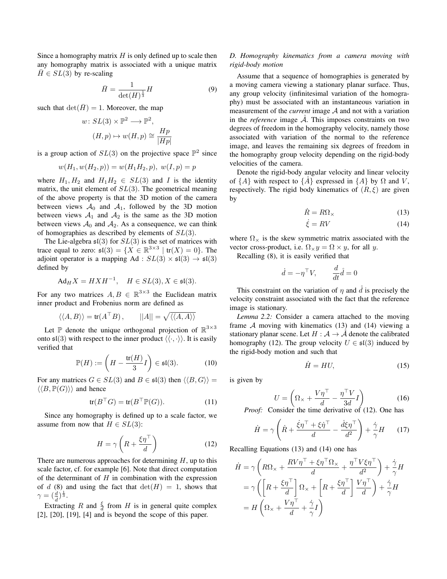Since a homography matrix  $H$  is only defined up to scale then any homography matrix is associated with a unique matrix  $H \in SL(3)$  by re-scaling

$$
\bar{H} = \frac{1}{\det(H)^{\frac{1}{3}}}H\tag{9}
$$

such that  $\det(\bar{H}) = 1$ . Moreover, the map

$$
w: SL(3) \times \mathbb{P}^2 \longrightarrow \mathbb{P}^2,
$$
  

$$
(H, p) \mapsto w(H, p) \cong \frac{Hp}{|Hp|}
$$

is a group action of  $SL(3)$  on the projective space  $\mathbb{P}^2$  since

$$
w(H_1, w(H_2, p)) = w(H_1 H_2, p), w(I, p) = p
$$

where  $H_1, H_2$  and  $H_1H_2 \in SL(3)$  and I is the identity matrix, the unit element of  $SL(3)$ . The geometrical meaning of the above property is that the 3D motion of the camera between views  $A_0$  and  $A_1$ , followed by the 3D motion between views  $A_1$  and  $A_2$  is the same as the 3D motion between views  $A_0$  and  $A_2$ . As a consequence, we can think of homographies as described by elements of  $SL(3)$ .

The Lie-algebra  $\mathfrak{sl}(3)$  for  $SL(3)$  is the set of matrices with trace equal to zero:  $\mathfrak{sl}(3) = \{X \in \mathbb{R}^{3 \times 3} \mid \text{tr}(X) = 0\}$ . The adjoint operator is a mapping Ad :  $SL(3) \times \mathfrak{sl}(3) \rightarrow \mathfrak{sl}(3)$ defined by

$$
Ad_H X = H X H^{-1}, \quad H \in SL(3), X \in \mathfrak{sl}(3).
$$

For any two matrices  $A, B \in \mathbb{R}^{3 \times 3}$  the Euclidean matrix inner product and Frobenius norm are defined as

$$
\langle \langle A, B \rangle \rangle = \text{tr}(A^{\top}B), \qquad ||A|| = \sqrt{\langle \langle A, A \rangle \rangle}
$$

Let  $\mathbb P$  denote the unique orthogonal projection of  $\mathbb R^{3\times 3}$ onto  $\mathfrak{sl}(3)$  with respect to the inner product  $\langle \langle \cdot, \cdot \rangle \rangle$ . It is easily verified that

$$
\mathbb{P}(H) := \left(H - \frac{\text{tr}(H)}{3}I\right) \in \mathfrak{sl}(3). \tag{10}
$$

For any matrices  $G \in SL(3)$  and  $B \in \mathfrak{sl}(3)$  then  $\langle \langle B, G \rangle \rangle =$  $\langle \langle B, \mathbb{P}(G) \rangle \rangle$  and hence

$$
\operatorname{tr}(B^{\top}G) = \operatorname{tr}(B^{\top}\mathbb{P}(G)).\tag{11}
$$

Since any homography is defined up to a scale factor, we assume from now that  $H \in SL(3)$ :

$$
H = \gamma \left( R + \frac{\xi \eta^{\top}}{d} \right) \tag{12}
$$

There are numerous approaches for determining  $H$ , up to this scale factor, cf. for example [6]. Note that direct computation of the determinant of  $H$  in combination with the expression of d (8) and using the fact that  $det(H) = 1$ , shows that  $\gamma=(\frac{d}{d})^{\frac{1}{3}}.$ 

Extracting R and  $\frac{\xi}{d}$  from H is in general quite complex [2], [20], [19], [4] and is beyond the scope of this paper.

# *D. Homography kinematics from a camera moving with rigid-body motion*

Assume that a sequence of homographies is generated by a moving camera viewing a stationary planar surface. Thus, any group velocity (infinitesimal variation of the homography) must be associated with an instantaneous variation in measurement of the *current* image A and not with a variation in the *reference* image  $\AA$ . This imposes constraints on two degrees of freedom in the homography velocity, namely those associated with variation of the normal to the reference image, and leaves the remaining six degrees of freedom in the homography group velocity depending on the rigid-body velocities of the camera.

Denote the rigid-body angular velocity and linear velocity of  $\{A\}$  with respect to  $\{\hat{A}\}$  expressed in  $\{A\}$  by  $\Omega$  and  $V$ , respectively. The rigid body kinematics of  $(R, \xi)$  are given by

$$
\dot{R} = R\Omega_{\times} \tag{13}
$$

$$
\dot{\xi} = RV \tag{14}
$$

where  $\Omega_{\times}$  is the skew symmetric matrix associated with the vector cross-product, i.e.  $\Omega_{\times} y = \Omega \times y$ , for all y.

Recalling (8), it is easily verified that

$$
\dot{d} = -\eta^{\top} V, \qquad \frac{d}{dt} \dot{d} = 0
$$

This constraint on the variation of  $\eta$  and  $\tilde{d}$  is precisely the velocity constraint associated with the fact that the reference image is stationary.

*Lemma 2.2:* Consider a camera attached to the moving frame  $A$  moving with kinematics (13) and (14) viewing a stationary planar scene. Let  $H : A \rightarrow \mathcal{A}$  denote the calibrated homography (12). The group velocity  $U \in \mathfrak{sl}(3)$  induced by the rigid-body motion and such that

$$
\dot{H} = HU,\tag{15}
$$

is given by

$$
U = \left(\Omega_{\times} + \frac{V\eta^{\top}}{d} - \frac{\eta^{\top}V}{3d}I\right)
$$
 (16)

*Proof:* Consider the time derivative of (12). One has

$$
\dot{H} = \gamma \left( \dot{R} + \frac{\dot{\xi}\eta^{\top} + \xi\dot{\eta}^{\top}}{d} - \frac{\dot{d}\xi\eta^{\top}}{d^2} \right) + \frac{\dot{\gamma}}{\gamma}H \qquad (17)
$$

Recalling Equations (13) and (14) one has

$$
\dot{H} = \gamma \left( R\Omega_{\times} + \frac{RV\eta^{\top} + \xi\eta^{\top}\Omega_{\times}}{d} + \frac{\eta^{\top}V\xi\eta^{\top}}{d^{2}} \right) + \frac{\dot{\gamma}}{\gamma}H
$$
\n
$$
= \gamma \left( \left[ R + \frac{\xi\eta^{\top}}{d} \right] \Omega_{\times} + \left[ R + \frac{\xi\eta^{\top}}{d} \right] \frac{V\eta^{\top}}{d} \right) + \frac{\dot{\gamma}}{\gamma}H
$$
\n
$$
= H \left( \Omega_{\times} + \frac{V\eta^{\top}}{d} + \frac{\dot{\gamma}}{\gamma}I \right)
$$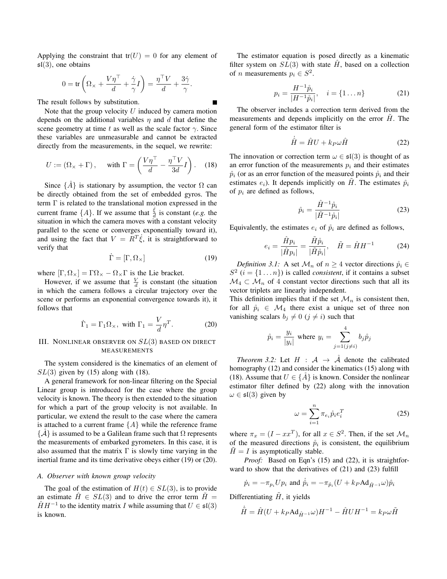Applying the constraint that  $tr(U) = 0$  for any element of  $\mathfrak{sl}(3)$ , one obtains

$$
0 = \text{tr}\left(\Omega_{\times} + \frac{V\eta^{\top}}{d} + \frac{\dot{\gamma}}{\gamma}I\right) = \frac{\eta^{\top}V}{d} + \frac{3\dot{\gamma}}{\gamma}.
$$

The result follows by substitution.

Note that the group velocity  $U$  induced by camera motion depends on the additional variables  $\eta$  and d that define the scene geometry at time t as well as the scale factor  $\gamma$ . Since these variables are unmeasurable and cannot be extracted directly from the measurements, in the sequel, we rewrite:

$$
U := (\Omega_{\times} + \Gamma), \quad \text{ with } \Gamma = \left(\frac{V\eta^{\top}}{d} - \frac{\eta^{\top}V}{3d}I\right). \tag{18}
$$

Since  $\{\tilde{A}\}\$ is stationary by assumption, the vector  $\Omega$  can be directly obtained from the set of embedded gyros. The term  $\Gamma$  is related to the translational motion expressed in the current frame  $\{A\}$ . If we assume that  $\frac{\dot{\xi}}{d}$  is constant (*e.g.* the situation in which the camera moves with a constant velocity parallel to the scene or converges exponentially toward it), and using the fact that  $V = R^T \dot{\xi}$ , it is straightforward to verify that

$$
\dot{\Gamma} = [\Gamma, \Omega_{\times}] \tag{19}
$$

where  $[\Gamma, \Omega_{\times}] = \Gamma \Omega_{\times} - \Omega_{\times} \Gamma$  is the Lie bracket.

However, if we assume that  $\frac{V}{d}$  is constant (the situation in which the camera follows a circular trajectory over the scene or performs an exponential convergence towards it), it follows that

$$
\dot{\Gamma}_1 = \Gamma_1 \Omega_{\times}, \text{ with } \Gamma_1 = \frac{V}{d} \eta^T. \tag{20}
$$

# III. NONLINEAR OBSERVER ON  $SL(3)$  based on direct MEASUREMENTS

The system considered is the kinematics of an element of  $SL(3)$  given by (15) along with (18).

A general framework for non-linear filtering on the Special Linear group is introduced for the case where the group velocity is known. The theory is then extended to the situation for which a part of the group velocity is not available. In particular, we extend the result to the case where the camera is attached to a current frame  $\{A\}$  while the reference frame  $\{\hat{\mathcal{A}}\}$  is assumed to be a Galilean frame such that  $\Omega$  represents the measurements of embarked gyrometers. In this case, it is also assumed that the matrix  $\Gamma$  is slowly time varying in the inertial frame and its time derivative obeys either (19) or (20).

#### *A. Observer with known group velocity*

The goal of the estimation of  $H(t) \in SL(3)$ , is to provide an estimate  $\hat{H} \in SL(3)$  and to drive the error term  $\tilde{H} =$  $\hat{H}H^{-1}$  to the identity matrix I while assuming that  $U \in \mathfrak{sl}(3)$ is known.

The estimator equation is posed directly as a kinematic filter system on  $SL(3)$  with state  $\hat{H}$ , based on a collection of *n* measurements  $p_i \in S^2$ .

$$
p_i = \frac{H^{-1}\mathring{p}_i}{|H^{-1}\mathring{p}_i|}, \quad i = \{1 \dots n\}
$$
 (21)

The observer includes a correction term derived from the measurements and depends implicitly on the error  $H$ . The general form of the estimator filter is

$$
\dot{\hat{H}} = \hat{H}U + k_P \omega \hat{H}
$$
 (22)

The innovation or correction term  $\omega \in \mathfrak{sl}(3)$  is thought of as an error function of the measurements  $p_i$  and their estimates  $\hat{p}_i$  (or as an error function of the measured points  $\hat{p}_i$  and their estimates  $e_i$ ). It depends implicitly on H. The estimates  $\hat{p}_i$ of  $p_i$  are defined as follows,

$$
\hat{p}_i = \frac{\hat{H}^{-1}\mathring{p}_i}{|\hat{H}^{-1}\mathring{p}_i|} \tag{23}
$$

Equivalently, the estimates  $e_i$  of  $\hat{p}_i$  are defined as follows,

$$
e_i = \frac{\hat{H}p_i}{|\hat{H}p_i|} = \frac{\tilde{H}\mathring{p}_i}{|\tilde{H}\mathring{p}_i|}, \quad \tilde{H} = \hat{H}H^{-1}
$$
 (24)

*Definition 3.1:* A set  $\mathcal{M}_n$  of  $n \geq 4$  vector directions  $\mathring{p}_i \in$  $S^2$  ( $i = \{1 \dots n\}$ ) is called *consistent*, if it contains a subset  $\mathcal{M}_4 \subset \mathcal{M}_n$  of 4 constant vector directions such that all its vector triplets are linearly independent.

This definition implies that if the set  $\mathcal{M}_n$  is consistent then, for all  $\hat{p}_i \in \mathcal{M}_4$  there exist a unique set of three non vanishing scalars  $b_j \neq 0$  ( $j \neq i$ ) such that

$$
\hat{p}_i = \frac{y_i}{|y_i|}
$$
 where  $y_i = \sum_{j=1 (j \neq i)}^{4} b_j \hat{p}_j$ 

*Theorem 3.2:* Let  $H : A \rightarrow \hat{A}$  denote the calibrated homography (12) and consider the kinematics (15) along with (18). Assume that  $U \in \{ \AA \}$  is known. Consider the nonlinear estimator filter defined by (22) along with the innovation  $\omega \in \mathfrak{sl}(3)$  given by

$$
\omega = \sum_{i=1}^{n} \pi_{e_i} \mathring{p}_i e_i^T \tag{25}
$$

where  $\pi_x = (I - xx^T)$ , for all  $x \in S^2$ . Then, if the set  $\mathcal{M}_n$ of the measured directions  $\hat{p}_i$  is consistent, the equilibrium  $H = I$  is asymptotically stable.

*Proof:* Based on Eqn's (15) and (22), it is straightforward to show that the derivatives of (21) and (23) fulfill

$$
\dot{p}_i = -\pi_{p_i} U p_i
$$
 and  $\dot{\hat{p}}_i = -\pi_{\hat{p}_i} (U + k_P \text{Ad}_{\hat{H}^{-1}} \omega) \hat{p}_i$ 

Differentiating  $\hat{H}$ , it yields

$$
\dot{\tilde{H}} = \hat{H}(U + k_P \text{Ad}_{\hat{H}^{-1}}\omega)H^{-1} - \hat{H}UH^{-1} = k_P\omega\tilde{H}
$$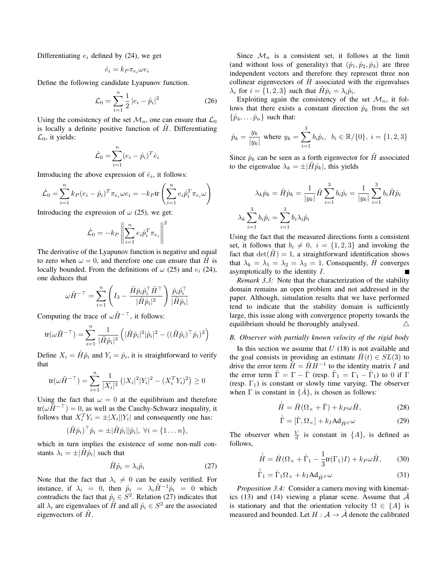Differentiating  $e_i$  defined by (24), we get

$$
\dot{e}_i = k_P \pi_{e_i} \omega e_i
$$

Define the following candidate Lyapunov function.

$$
\mathcal{L}_0 = \sum_{i=1}^n \frac{1}{2} |e_i - \mathring{p}_i|^2
$$
 (26)

Using the consistency of the set  $\mathcal{M}_n$ , one can ensure that  $\mathcal{L}_0$ is locally a definite positive function of  $H$ . Differentiating  $\mathcal{L}_0$ , it yields:

$$
\dot{\mathcal{L}}_0 = \sum_{i=1}^n (e_i - \mathring{p}_i)^T \dot{e}_i
$$

Introducing the above expression of  $\dot{e}_i$ , it follows:

$$
\dot{\mathcal{L}}_0 = \sum_{i=1}^n k_P (e_i - \mathring{p}_i)^T \pi_{e_i} \omega e_i = -k_P \text{tr} \left( \sum_{i=1}^n e_i \mathring{p}_i^T \pi_{e_i} \omega \right)
$$

Introducing the expression of  $\omega$  (25), we get:

$$
\dot{\mathcal{L}}_0 = -k_P \left\| \sum_{i=1}^n e_i \mathring{p}_i^T \pi_{e_i} \right\|^2
$$

The derivative of the Lyapunov function is negative and equal to zero when  $\omega = 0$ , and therefore one can ensure that H is locally bounded. From the definitions of  $\omega$  (25) and  $e_i$  (24), one deduces that

$$
\omega \tilde{H}^{-\top} = \sum_{i=1}^n \left( I_3 - \frac{\tilde{H} \mathring{p}_i \mathring{p}_i^{\top} \tilde{H}^{\top}}{|\tilde{H} \mathring{p}_i|^2} \right) \frac{\mathring{p}_i \mathring{p}_i^{\top}}{|\tilde{H} \mathring{p}_i|}
$$

Computing the trace of  $\omega \tilde{H}^{-\top}$ , it follows:

$$
\text{tr}(\omega \tilde{H}^{-\top}) = \sum_{i=1}^{n} \frac{1}{|\tilde{H}\mathring{p}_{i}|^{3}} \left( |\tilde{H}\mathring{p}_{i}|^{2} |\mathring{p}_{i}|^{2} - ((\tilde{H}\mathring{p}_{i})^{\top} \mathring{p}_{i})^{2} \right)
$$

Define  $X_i = \tilde{H}\dot{p}_i$  and  $Y_i = \dot{p}_i$ , it is straightforward to verify that

$$
\text{tr}(\omega \tilde{H}^{-\top}) = \sum_{i=1}^{n} \frac{1}{|X_i|^3} \left( |X_i|^2 |Y_i|^2 - (X_i^T Y_i)^2 \right) \ge 0
$$

Using the fact that  $\omega = 0$  at the equilibrium and therefore  $tr(\omega \tilde{H}^{-\top}) = 0$ , as well as the Cauchy-Schwarz inequality, it follows that  $X_i^T Y_i = \pm |X_i||Y_i|$  and consequently one has:

$$
(\tilde{H}\tilde{p}_i)^{\top}\tilde{p}_i = \pm |\tilde{H}\tilde{p}_i||\tilde{p}_i|, \ \forall i = \{1 \dots n\},
$$

which in turn implies the existence of some non-null constants  $\lambda_i = \pm |\tilde{H}\tilde{p}_i|$  such that

$$
\tilde{H}\mathring{p}_i = \lambda_i \mathring{p}_i \tag{27}
$$

Note that the fact that  $\lambda_i \neq 0$  can be easily verified. For instance, if  $\lambda_i = 0$ , then  $\mathring{p}_i = \lambda_i H^{-1} \mathring{p}_i = 0$  which contradicts the fact that  $\mathring{p}_i \in S^2$ . Relation (27) indicates that all  $\lambda_i$  are eigenvalues of  $\tilde{H}$  and all  $\mathring{p}_i \in S^2$  are the associated eigenvectors of  $H$ .

Since  $\mathcal{M}_n$  is a consistent set, it follows at the limit (and without loss of generality) that  $(\mathring{p}_1, \mathring{p}_2, \mathring{p}_3)$  are three independent vectors and therefore they represent three non collinear eigenvectors of  $H$  associated with the eigenvalues  $\lambda_i$  for  $i = \{1, 2, 3\}$  such that  $\tilde{H} \dot{p}_i = \lambda_i \dot{p}_i$ .

Exploiting again the consistency of the set  $\mathcal{M}_n$ , it follows that there exists a constant direction  $\hat{p}_k$  from the set  $\{\hat{p}_4, \ldots, \hat{p}_n\}$  such that:

$$
\hat{p}_k = \frac{y_k}{|y_k|}
$$
 where  $y_k = \sum_{i=1}^3 b_i \hat{p}_i$ ,  $b_i \in \mathbb{R}/\{0\}$ ,  $i = \{1, 2, 3\}$ 

Since  $\mathring{p}_k$  can be seen as a forth eigenvector for H associated to the eigenvalue  $\lambda_k = \pm |H\hat{p}_k|$ , this yields

$$
\lambda_k \mathring{p}_k = \tilde{H} \mathring{p}_k = \frac{1}{|y_k|} \tilde{H} \sum_{i=1}^3 b_i \mathring{p}_i = \frac{1}{|y_k|} \sum_{i=1}^3 b_i \tilde{H} \mathring{p}_i
$$

$$
\lambda_k \sum_{i=1}^3 b_i \mathring{p}_i = \sum_{i=1}^3 b_i \lambda_i \mathring{p}_i
$$

Using the fact that the measured directions form a consistent set, it follows that  $b_i \neq 0$ ,  $i = \{1, 2, 3\}$  and invoking the fact that  $det(H) = 1$ , a straightforward identification shows that  $\lambda_k = \lambda_1 = \lambda_2 = \lambda_3 = 1$ . Consequently, H converges asymptotically to the identity I.

*Remark 3.3:* Note that the characterization of the stability domain remains an open problem and not addressed in the paper. Although, simulation results that we have performed tend to indicate that the stability domain is sufficiently large, this issue along with convergence property towards the equilibrium should be thoroughly analysed.  $\triangle$ 

## *B. Observer with partially known velocity of the rigid body*

In this section we assume that  $U(18)$  is not available and the goal consists in providing an estimate  $\hat{H}(t) \in SL(3)$  to drive the error term  $\tilde{H} = \hat{H}H^{-1}$  to the identity matrix  $\tilde{I}$  and the error term  $\tilde{\Gamma} = \Gamma - \hat{\Gamma}$  (resp.  $\tilde{\Gamma}_1 = \Gamma_1 - \hat{\Gamma}_1$ ) to 0 if  $\Gamma$ (resp.  $\Gamma_1$ ) is constant or slowly time varying. The observer when  $\Gamma$  is constant in  $\{A\}$ , is chosen as follows:

$$
\dot{\hat{H}} = \hat{H}(\Omega_{\times} + \hat{\Gamma}) + k_{P}\omega\hat{H},
$$
\n(28)

$$
\dot{\hat{\Gamma}} = [\hat{\Gamma}, \Omega_{\times}] + k_I \text{Ad}_{\hat{H}^T} \omega \tag{29}
$$

The observer when  $\frac{V}{d}$  is constant in  $\{A\}$ , is defined as follows,

$$
\dot{\hat{H}} = \hat{H}(\Omega_{\times} + \hat{\Gamma}_{1} - \frac{1}{3}\text{tr}(\Gamma_{1})I) + k_{P}\omega\hat{H},
$$
 (30)

$$
\dot{\hat{\Gamma}}_1 = \hat{\Gamma}_1 \Omega_\times + k_I \text{Ad}_{\hat{H}^T} \omega \tag{31}
$$

*Proposition 3.4:* Consider a camera moving with kinematics (13) and (14) viewing a planar scene. Assume that  $A$ is stationary and that the orientation velocity  $\Omega \in \{A\}$  is measured and bounded. Let  $H : A \rightarrow \tilde{A}$  denote the calibrated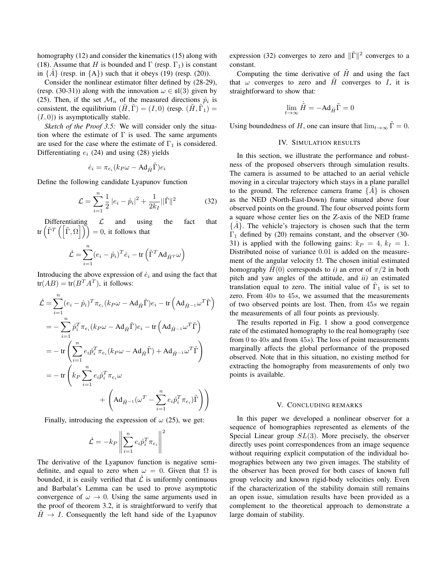homography (12) and consider the kinematics (15) along with (18). Assume that H is bounded and  $\Gamma$  (resp.  $\Gamma_1$ ) is constant in  $\{A\}$  (resp. in  $\{A\}$ ) such that it obeys (19) (resp. (20)).

Consider the nonlinear estimator filter defined by (28-29), (resp. (30-31)) along with the innovation  $\omega \in \mathfrak{sl}(3)$  given by (25). Then, if the set  $\mathcal{M}_n$  of the measured directions  $\dot{p}_i$  is consistent, the equilibrium  $(\tilde{H}, \tilde{\Gamma}) = (I, 0)$  (resp.  $(\tilde{H}, \tilde{\Gamma}_1) =$  $(I, 0)$ ) is asymptotically stable.

*Sketch of the Proof 3.5:* We will consider only the situation where the estimate of  $\Gamma$  is used. The same arguments are used for the case where the estimate of  $\Gamma_1$  is considered. Differentiating  $e_i$  (24) and using (28) yields

$$
\dot{e}_i = \pi_{e_i} (k_P \omega - \mathrm{Ad}_{\hat{H}} \tilde{\Gamma}) e_i
$$

Define the following candidate Lyapunov function

$$
\mathcal{L} = \sum_{i=1}^{n} \frac{1}{2} |e_i - \mathring{p}_i|^2 + \frac{1}{2k_I} ||\tilde{\Gamma}||^2
$$
 (32)

Differentiating  $\mathcal{L}$  and using the fact that tr  $(\tilde{\Gamma}^T(\lceil \tilde{\Gamma}, \Omega \rceil)) = 0$ , it follows that

$$
\dot{\mathcal{L}} = \sum_{i=1}^{n} (e_i - \mathring{p}_i)^T \dot{e}_i - \text{tr}\left(\tilde{\Gamma}^T \text{Ad}_{\hat{H}^T} \omega\right)
$$

Introducing the above expression of  $\dot{e}_i$  and using the fact that  $tr(AB) = tr(B^T A^T)$ , it follows:

$$
\dot{\mathcal{L}} = \sum_{i=1}^{n} (e_i - \mathring{p}_i)^T \pi_{e_i} (k_P \omega - \text{Ad}_{\hat{H}} \tilde{\Gamma}) e_i - \text{tr} \left( \text{Ad}_{\hat{H}^{-1}} \omega^T \tilde{\Gamma} \right)
$$
\n
$$
= -\sum_{i=1}^{n} \mathring{p}_i^T \pi_{e_i} (k_P \omega - \text{Ad}_{\hat{H}} \tilde{\Gamma}) e_i - \text{tr} \left( \text{Ad}_{\hat{H}^{-1}} \omega^T \tilde{\Gamma} \right)
$$
\n
$$
= -\text{tr} \left( \sum_{i=1}^{n} e_i \mathring{p}_i^T \pi_{e_i} (k_P \omega - \text{Ad}_{\hat{H}} \tilde{\Gamma}) + \text{Ad}_{\hat{H}^{-1}} \omega^T \tilde{\Gamma} \right)
$$
\n
$$
= -\text{tr} \left( k_P \sum_{i=1}^{n} e_i \mathring{p}_i^T \pi_{e_i} \omega + \left( \text{Ad}_{\hat{H}^{-1}} (\omega^T - \sum_{i=1}^{n} e_i \mathring{p}_i^T \pi_{e_i}) \tilde{\Gamma} \right) \right)
$$

Finally, introducing the expression of  $\omega$  (25), we get:

$$
\dot{\mathcal{L}} = -k_P \left\| \sum_{i=1}^n e_i \mathring{p}_i^T \pi_{e_i} \right\|^2
$$

The derivative of the Lyapunov function is negative semidefinite, and equal to zero when  $\omega = 0$ . Given that  $\Omega$  is bounded, it is easily verified that  $\dot{\mathcal{L}}$  is uniformly continuous and Barbalat's Lemma can be used to prove asymptotic convergence of  $\omega \rightarrow 0$ . Using the same arguments used in the proof of theorem 3.2, it is straightforward to verify that  $H \rightarrow I$ . Consequently the left hand side of the Lyapunov

expression (32) converges to zero and  $\|\tilde{\Gamma}\|^2$  converges to a constant.

Computing the time derivative of  $\tilde{H}$  and using the fact that  $\omega$  converges to zero and H converges to I, it is straightforward to show that:

$$
\lim_{t \to \infty} \dot{\tilde{H}} = -\mathbf{A} \mathbf{d}_{\hat{H}} \tilde{\Gamma} = 0
$$

Using boundedness of H, one can insure that  $\lim_{t\to\infty} \tilde{\Gamma} = 0$ .

## IV. SIMULATION RESULTS

In this section, we illustrate the performance and robustness of the proposed observers through simulation results. The camera is assumed to be attached to an aerial vehicle moving in a circular trajectory which stays in a plane parallel to the ground. The reference camera frame  $\{A\}$  is chosen as the NED (North-East-Down) frame situated above four observed points on the ground. The four observed points form a square whose center lies on the Z-axis of the NED frame  ${A}$ . The vehicle's trajectory is chosen such that the term  $\Gamma_1$  defined by (20) remains constant, and the observer (30-31) is applied with the following gains:  $k_P = 4$ ,  $k_I = 1$ . Distributed noise of variance 0.01 is added on the measurement of the angular velocity  $\Omega$ . The chosen initial estimated homography  $H(0)$  corresponds to *i*) an error of  $\pi/2$  in both pitch and yaw angles of the attitude, and *ii)* an estimated translation equal to zero. The initial value of  $\hat{\Gamma}_1$  is set to zero. From  $40s$  to  $45s$ , we assumed that the measurements of two observed points are lost. Then, from 45s we regain the measurements of all four points as previously.

The results reported in Fig. 1 show a good convergence rate of the estimated homography to the real homography (see from 0 to  $40s$  and from  $45s$ ). The loss of point measurements marginally affects the global performance of the proposed observed. Note that in this situation, no existing method for extracting the homography from measurements of only two points is available.

### V. CONCLUDING REMARKS

In this paper we developed a nonlinear observer for a sequence of homographies represented as elements of the Special Linear group  $SL(3)$ . More precisely, the observer directly uses point correspondences from an image sequence without requiring explicit computation of the individual homographies between any two given images. The stability of the observer has been proved for both cases of known full group velocity and known rigid-body velocities only. Even if the characterization of the stability domain still remains an open issue, simulation results have been provided as a complement to the theoretical approach to demonstrate a large domain of stability.